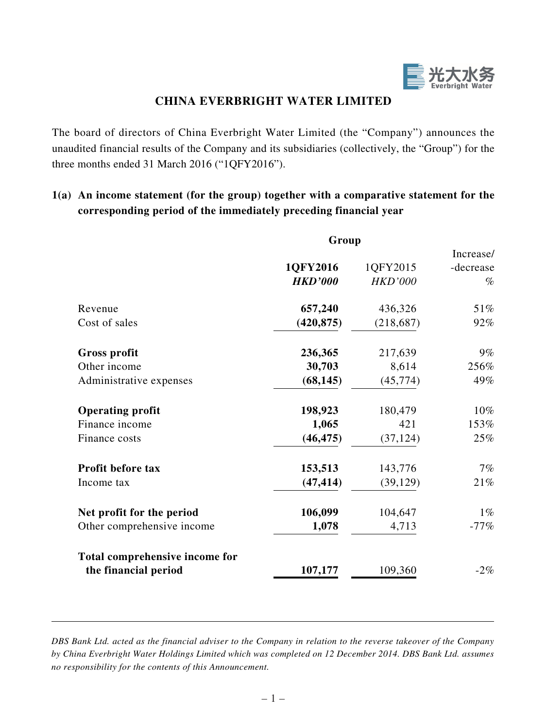

# **CHINA EVERBRIGHT WATER LIMITED**

The board of directors of China Everbright Water Limited (the "Company") announces the unaudited financial results of the Company and its subsidiaries (collectively, the "Group") for the three months ended 31 March 2016 ("1QFY2016").

# **1(a) An income statement (for the group) together with a comparative statement for the corresponding period of the immediately preceding financial year**

|                                | Group          |                |           |  |
|--------------------------------|----------------|----------------|-----------|--|
|                                |                |                | Increase/ |  |
|                                | 1QFY2016       | 1QFY2015       | -decrease |  |
|                                | <b>HKD'000</b> | <b>HKD'000</b> | $\%$      |  |
| Revenue                        | 657,240        | 436,326        | 51%       |  |
| Cost of sales                  | (420, 875)     | (218, 687)     | 92%       |  |
| <b>Gross profit</b>            | 236,365        | 217,639        | $9\%$     |  |
| Other income                   | 30,703         | 8,614          | 256%      |  |
| Administrative expenses        | (68, 145)      | (45, 774)      | 49%       |  |
| <b>Operating profit</b>        | 198,923        | 180,479        | 10%       |  |
| Finance income                 | 1,065          | 421            | 153%      |  |
| Finance costs                  | (46, 475)      | (37, 124)      | 25%       |  |
| Profit before tax              | 153,513        | 143,776        | 7%        |  |
| Income tax                     | (47, 414)      | (39, 129)      | 21%       |  |
| Net profit for the period      | 106,099        | 104,647        | $1\%$     |  |
| Other comprehensive income     | 1,078          | 4,713          | $-77%$    |  |
| Total comprehensive income for |                |                |           |  |
| the financial period           | 107,177        | 109,360        | $-2\%$    |  |

*DBS Bank Ltd. acted as the financial adviser to the Company in relation to the reverse takeover of the Company by China Everbright Water Holdings Limited which was completed on 12 December 2014. DBS Bank Ltd. assumes no responsibility for the contents of this Announcement.*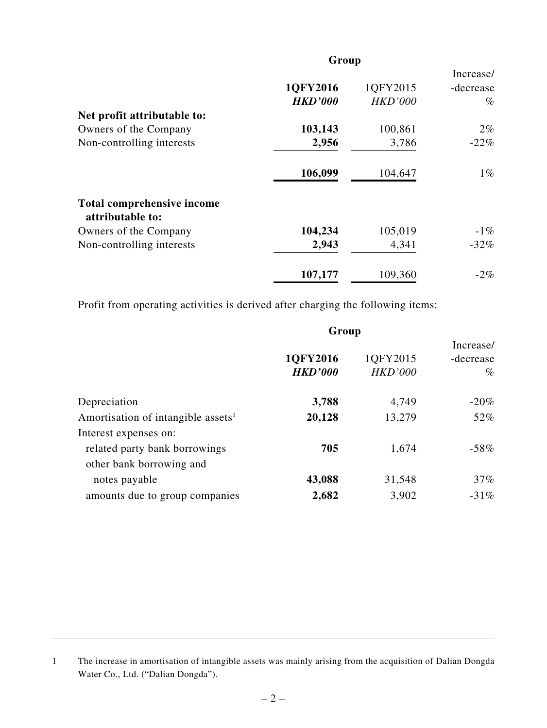|                                                | Group                      |                            |                                |  |
|------------------------------------------------|----------------------------|----------------------------|--------------------------------|--|
|                                                | 1QFY2016<br><b>HKD'000</b> | 1QFY2015<br><b>HKD'000</b> | Increase/<br>-decrease<br>$\%$ |  |
| Net profit attributable to:                    |                            |                            |                                |  |
| Owners of the Company                          | 103,143                    | 100,861                    | $2\%$                          |  |
| Non-controlling interests                      | 2,956                      | 3,786                      | $-22%$                         |  |
|                                                | 106,099                    | 104,647                    | $1\%$                          |  |
| Total comprehensive income<br>attributable to: |                            |                            |                                |  |
| Owners of the Company                          | 104,234                    | 105,019                    | $-1\%$                         |  |
| Non-controlling interests                      | 2,943                      | 4,341                      | $-32\%$                        |  |
|                                                | 107,177                    | 109,360                    | $-2\%$                         |  |

Profit from operating activities is derived after charging the following items:

|                                                | Group                      |                            |                                |  |  |
|------------------------------------------------|----------------------------|----------------------------|--------------------------------|--|--|
|                                                | 1QFY2016<br><b>HKD'000</b> | 1QFY2015<br><b>HKD'000</b> | Increase/<br>-decrease<br>$\%$ |  |  |
| Depreciation                                   | 3,788                      | 4,749                      | $-20\%$                        |  |  |
| Amortisation of intangible assets <sup>1</sup> | 20,128                     | 13,279                     | 52%                            |  |  |
| Interest expenses on:                          |                            |                            |                                |  |  |
| related party bank borrowings                  | 705                        | 1,674                      | $-58\%$                        |  |  |
| other bank borrowing and                       |                            |                            |                                |  |  |
| notes payable                                  | 43,088                     | 31,548                     | $37\%$                         |  |  |
| amounts due to group companies                 | 2,682                      | 3,902                      | $-31\%$                        |  |  |

<sup>1</sup> The increase in amortisation of intangible assets was mainly arising from the acquisition of Dalian Dongda Water Co., Ltd. ("Dalian Dongda").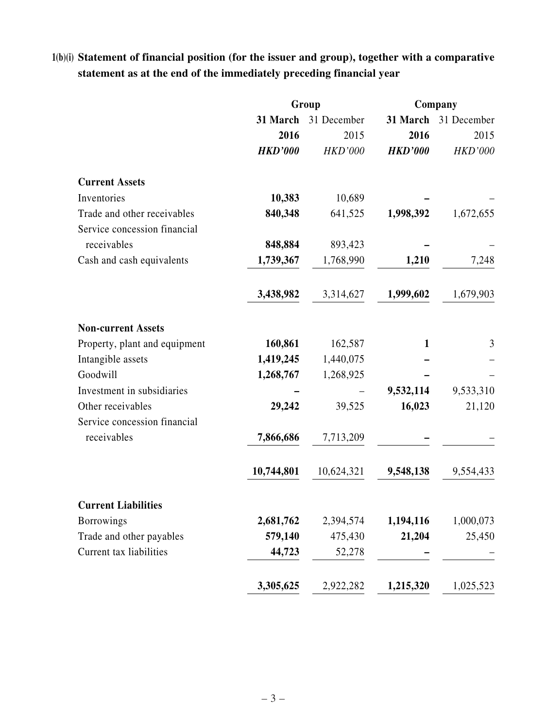# **1(b)(i) Statement of financial position (for the issuer and group), together with a comparative statement as at the end of the immediately preceding financial year**

|                               | Group          |                |                | Company              |
|-------------------------------|----------------|----------------|----------------|----------------------|
|                               | 31 March       | 31 December    |                | 31 March 31 December |
|                               | 2016           | 2015           | 2016           | 2015                 |
|                               | <b>HKD'000</b> | <b>HKD'000</b> | <b>HKD'000</b> | <b>HKD'000</b>       |
| <b>Current Assets</b>         |                |                |                |                      |
| Inventories                   | 10,383         | 10,689         |                |                      |
| Trade and other receivables   | 840,348        | 641,525        | 1,998,392      | 1,672,655            |
| Service concession financial  |                |                |                |                      |
| receivables                   | 848,884        | 893,423        |                |                      |
| Cash and cash equivalents     | 1,739,367      | 1,768,990      | 1,210          | 7,248                |
|                               | 3,438,982      | 3,314,627      | 1,999,602      | 1,679,903            |
| <b>Non-current Assets</b>     |                |                |                |                      |
| Property, plant and equipment | 160,861        | 162,587        | $\mathbf{1}$   | 3                    |
| Intangible assets             | 1,419,245      | 1,440,075      |                |                      |
| Goodwill                      | 1,268,767      | 1,268,925      |                |                      |
| Investment in subsidiaries    |                |                | 9,532,114      | 9,533,310            |
| Other receivables             | 29,242         | 39,525         | 16,023         | 21,120               |
| Service concession financial  |                |                |                |                      |
| receivables                   | 7,866,686      | 7,713,209      |                |                      |
|                               | 10,744,801     | 10,624,321     | 9,548,138      | 9,554,433            |
| <b>Current Liabilities</b>    |                |                |                |                      |
| <b>Borrowings</b>             | 2,681,762      | 2,394,574      | 1,194,116      | 1,000,073            |
| Trade and other payables      | 579,140        | 475,430        | 21,204         | 25,450               |
| Current tax liabilities       | 44,723         | 52,278         |                |                      |
|                               | 3,305,625      | 2,922,282      | 1,215,320      | 1,025,523            |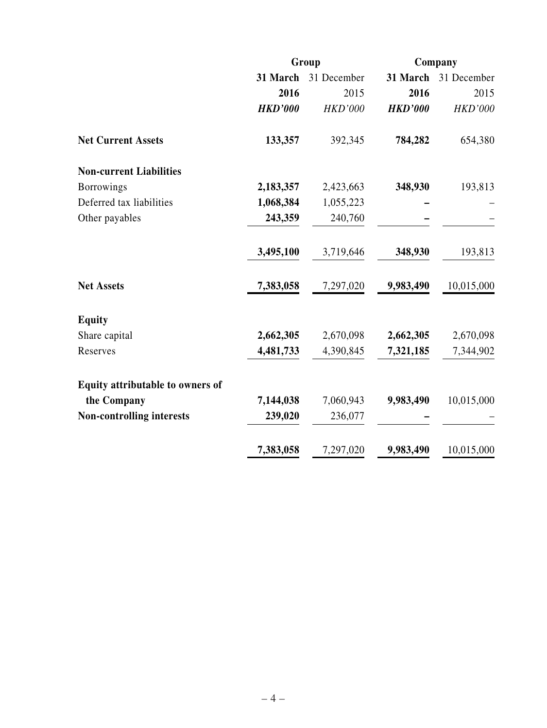|                                  | Group          |                | Company        |                |
|----------------------------------|----------------|----------------|----------------|----------------|
|                                  | 31 March       | 31 December    | 31 March       | 31 December    |
|                                  | 2016           | 2015           | 2016           | 2015           |
|                                  | <b>HKD'000</b> | <b>HKD'000</b> | <b>HKD'000</b> | <b>HKD'000</b> |
| <b>Net Current Assets</b>        | 133,357        | 392,345        | 784,282        | 654,380        |
| <b>Non-current Liabilities</b>   |                |                |                |                |
| <b>Borrowings</b>                | 2,183,357      | 2,423,663      | 348,930        | 193,813        |
| Deferred tax liabilities         | 1,068,384      | 1,055,223      |                |                |
| Other payables                   | 243,359        | 240,760        |                |                |
|                                  | 3,495,100      | 3,719,646      | 348,930        | 193,813        |
| <b>Net Assets</b>                | 7,383,058      | 7,297,020      | 9,983,490      | 10,015,000     |
| <b>Equity</b>                    |                |                |                |                |
| Share capital                    | 2,662,305      | 2,670,098      | 2,662,305      | 2,670,098      |
| Reserves                         | 4,481,733      | 4,390,845      | 7,321,185      | 7,344,902      |
| Equity attributable to owners of |                |                |                |                |
| the Company                      | 7,144,038      | 7,060,943      | 9,983,490      | 10,015,000     |
| <b>Non-controlling interests</b> | 239,020        | 236,077        |                |                |
|                                  | 7,383,058      | 7,297,020      | 9,983,490      | 10,015,000     |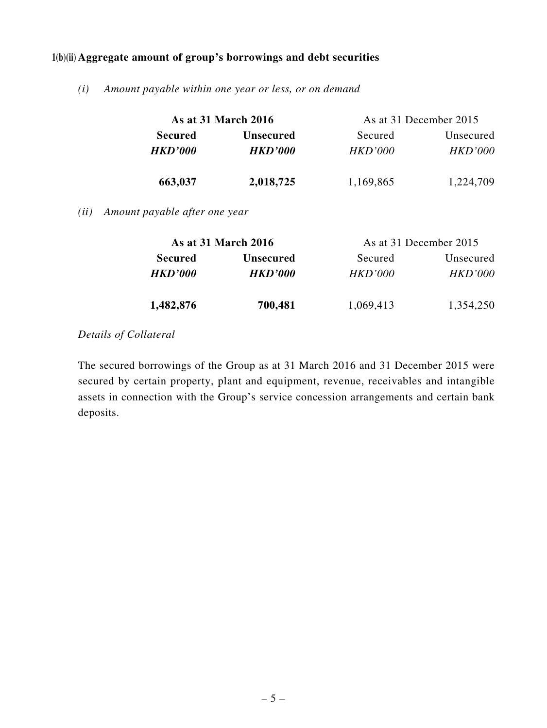### **1(b)(ii) Aggregate amount of group's borrowings and debt securities**

*(i) Amount payable within one year or less, or on demand*

|                       | <b>As at 31 March 2016</b> | As at 31 December 2015 |                |
|-----------------------|----------------------------|------------------------|----------------|
| <b>Secured</b>        | <b>Unsecured</b>           | Secured                | Unsecured      |
| <i><b>HKD'000</b></i> | <b>HKD'000</b>             | <i>HKD'000</i>         | <i>HKD'000</i> |
| 663,037               | 2,018,725                  | 1,169,865              | 1,224,709      |

*(ii) Amount payable after one year*

|                | <b>As at 31 March 2016</b> | As at 31 December 2015 |                |
|----------------|----------------------------|------------------------|----------------|
| <b>Secured</b> | <b>Unsecured</b>           | Secured                | Unsecured      |
| <b>HKD'000</b> | <i><b>HKD'000</b></i>      | HKD'000                | <i>HKD'000</i> |
| 1,482,876      | 700,481                    | 1,069,413              | 1,354,250      |

### *Details of Collateral*

The secured borrowings of the Group as at 31 March 2016 and 31 December 2015 were secured by certain property, plant and equipment, revenue, receivables and intangible assets in connection with the Group's service concession arrangements and certain bank deposits.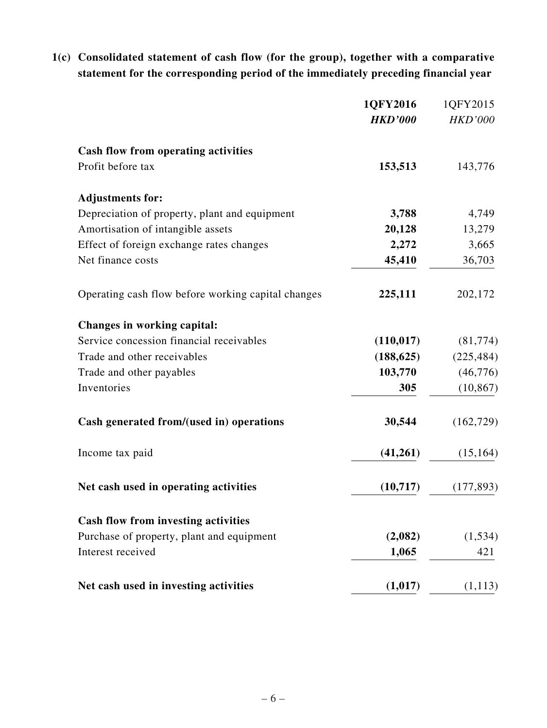**1(c) Consolidated statement of cash flow (for the group), together with a comparative statement for the corresponding period of the immediately preceding financial year**

|                                                    | 1QFY2016       | 1QFY2015       |
|----------------------------------------------------|----------------|----------------|
|                                                    | <b>HKD'000</b> | <b>HKD'000</b> |
| Cash flow from operating activities                |                |                |
| Profit before tax                                  | 153,513        | 143,776        |
| <b>Adjustments for:</b>                            |                |                |
| Depreciation of property, plant and equipment      | 3,788          | 4,749          |
| Amortisation of intangible assets                  | 20,128         | 13,279         |
| Effect of foreign exchange rates changes           | 2,272          | 3,665          |
| Net finance costs                                  | 45,410         | 36,703         |
| Operating cash flow before working capital changes | 225,111        | 202,172        |
| Changes in working capital:                        |                |                |
| Service concession financial receivables           | (110, 017)     | (81, 774)      |
| Trade and other receivables                        | (188, 625)     | (225, 484)     |
| Trade and other payables                           | 103,770        | (46, 776)      |
| Inventories                                        | 305            | (10, 867)      |
| Cash generated from/(used in) operations           | 30,544         | (162, 729)     |
| Income tax paid                                    | (41,261)       | (15, 164)      |
| Net cash used in operating activities              | (10,717)       | (177, 893)     |
| <b>Cash flow from investing activities</b>         |                |                |
| Purchase of property, plant and equipment          | (2,082)        | (1, 534)       |
| Interest received                                  | 1,065          | 421            |
| Net cash used in investing activities              | (1,017)        | (1,113)        |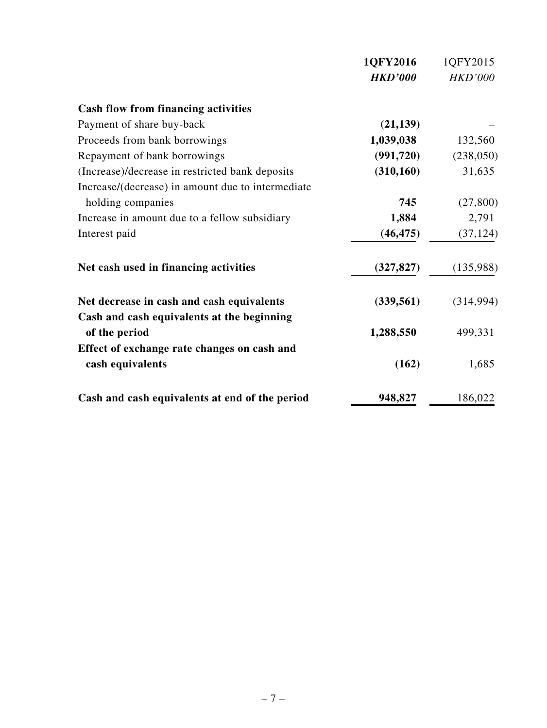|                                                   | 1QFY2016       | 1QFY2015       |
|---------------------------------------------------|----------------|----------------|
|                                                   | <b>HKD'000</b> | <b>HKD'000</b> |
| <b>Cash flow from financing activities</b>        |                |                |
| Payment of share buy-back                         | (21, 139)      |                |
| Proceeds from bank borrowings                     | 1,039,038      | 132,560        |
| Repayment of bank borrowings                      | (991, 720)     | (238,050)      |
| (Increase)/decrease in restricted bank deposits   | (310, 160)     | 31,635         |
| Increase/(decrease) in amount due to intermediate |                |                |
| holding companies                                 | 745            | (27, 800)      |
| Increase in amount due to a fellow subsidiary     | 1,884          | 2,791          |
| Interest paid                                     | (46, 475)      | (37, 124)      |
| Net cash used in financing activities             | (327, 827)     | (135,988)      |
| Net decrease in cash and cash equivalents         | (339, 561)     | (314, 994)     |
| Cash and cash equivalents at the beginning        |                |                |
| of the period                                     | 1,288,550      | 499,331        |
| Effect of exchange rate changes on cash and       |                |                |
| cash equivalents                                  | (162)          | 1,685          |
| Cash and cash equivalents at end of the period    | 948,827        | 186,022        |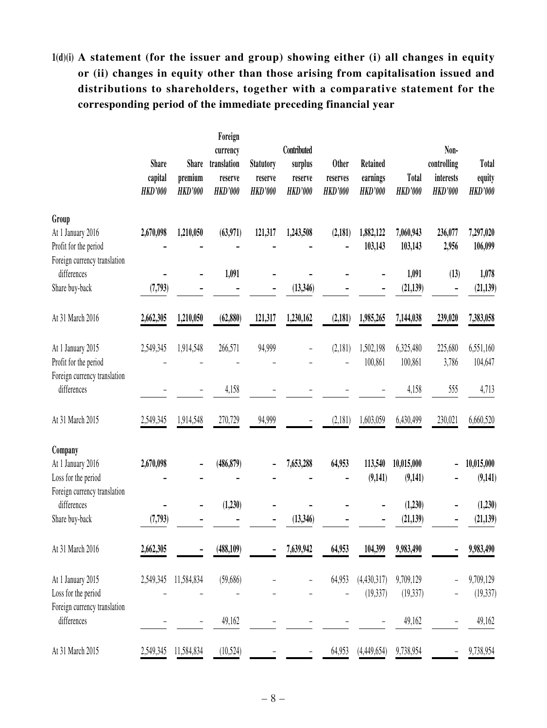# **1(d)(i) A statement (for the issuer and group) showing either (i) all changes in equity or (ii) changes in equity other than those arising from capitalisation issued and distributions to shareholders, together with a comparative statement for the corresponding period of the immediate preceding financial year**

|                                                     | <b>Share</b><br>capital<br><b>HKD'000</b> | <b>Share</b><br>premium<br><b>HKD'000</b> | Foreign<br>currency<br>translation<br>reserve<br><b>HKD'000</b> | <b>Statutory</b><br>reserve<br><b>HKD'000</b> | Contributed<br>surplus<br>reserve<br><b>HKD'000</b> | <b>Other</b><br>reserves<br><b>HKD'000</b> | <b>Retained</b><br>earnings<br><b>HKD'000</b> | <b>Total</b><br><b>HKD'000</b> | Non-<br>controlling<br>interests<br><b>HKD'000</b> | Total<br>equity<br><b>HKD'000</b> |
|-----------------------------------------------------|-------------------------------------------|-------------------------------------------|-----------------------------------------------------------------|-----------------------------------------------|-----------------------------------------------------|--------------------------------------------|-----------------------------------------------|--------------------------------|----------------------------------------------------|-----------------------------------|
| Group                                               |                                           |                                           |                                                                 |                                               |                                                     |                                            |                                               |                                |                                                    |                                   |
| At 1 January 2016<br>Profit for the period          | 2,670,098                                 | 1,210,050                                 | (63,971)                                                        | 121,317                                       | 1,243,508                                           | (2,181)                                    | 1,882,122<br>103,143                          | 7,060,943<br>103,143           | 236,077<br>2,956                                   | 7,297,020<br>106,099              |
| Foreign currency translation<br>differences         |                                           |                                           | 1,091                                                           |                                               |                                                     |                                            |                                               | 1,091                          | (13)                                               | 1,078                             |
| Share buy-back                                      | (7, 793)                                  |                                           |                                                                 |                                               | (13,346)                                            |                                            |                                               | (21, 139)                      |                                                    | (21, 139)                         |
| At 31 March 2016                                    | 2,662,305                                 | 1,210,050                                 | (62, 880)                                                       | 121,317                                       | 1,230,162                                           | (2,181)                                    | 1,985,265                                     | 7,144,038                      | 239,020                                            | 7,383,058                         |
| At 1 January 2015                                   | 2,549,345                                 | 1,914,548                                 | 266,571                                                         | 94,999                                        |                                                     | (2,181)                                    | 1,502,198                                     | 6,325,480                      | 225,680                                            | 6,551,160                         |
| Profit for the period                               |                                           |                                           |                                                                 |                                               |                                                     |                                            | 100,861                                       | 100,861                        | 3,786                                              | 104,647                           |
| Foreign currency translation<br>differences         |                                           |                                           | 4,158                                                           |                                               |                                                     |                                            |                                               | 4,158                          | 555                                                | 4,713                             |
| At 31 March 2015                                    | 2,549,345                                 | 1,914,548                                 | 270,729                                                         | 94,999                                        |                                                     | (2,181)                                    | 1,603,059                                     | 6,430,499                      | 230,021                                            | 6,660,520                         |
| Company<br>At 1 January 2016<br>Loss for the period | 2,670,098                                 |                                           | (486, 879)                                                      |                                               | 7,653,288                                           | 64,953                                     | 113,540<br>(9,141)                            | 10,015,000<br>(9,141)          |                                                    | 10,015,000<br>(9, 141)            |
| Foreign currency translation<br>differences         |                                           |                                           | (1,230)                                                         |                                               |                                                     |                                            |                                               | (1,230)                        |                                                    | (1,230)                           |
| Share buy-back                                      | (7, 793)                                  |                                           |                                                                 |                                               | (13,346)                                            |                                            |                                               | (21, 139)                      |                                                    | (21, 139)                         |
| At 31 March 2016                                    | 2,662,305                                 |                                           | (488, 109)                                                      |                                               | 7,639,942                                           | 64,953                                     | 104,399                                       | 9,983,490                      |                                                    | 9,983,490                         |
| At 1 January 2015                                   | 2,549,345                                 | 11,584,834                                | (59,686)                                                        |                                               |                                                     | 64,953                                     | (4,430,317)                                   | 9,709,129                      |                                                    | 9,709,129                         |
| Loss for the period                                 |                                           |                                           |                                                                 |                                               |                                                     |                                            | (19, 337)                                     | (19, 337)                      |                                                    | (19, 337)                         |
| Foreign currency translation<br>differences         |                                           | $\overline{\phantom{0}}$                  | 49,162                                                          | -                                             |                                                     |                                            |                                               | 49,162                         | $\overline{\phantom{0}}$                           | 49,162                            |
| At 31 March 2015                                    | 2,549,345                                 | 11,584,834                                | (10,524)                                                        |                                               |                                                     | 64,953                                     | (4,449,654)                                   | 9,738,954                      |                                                    | 9,738,954                         |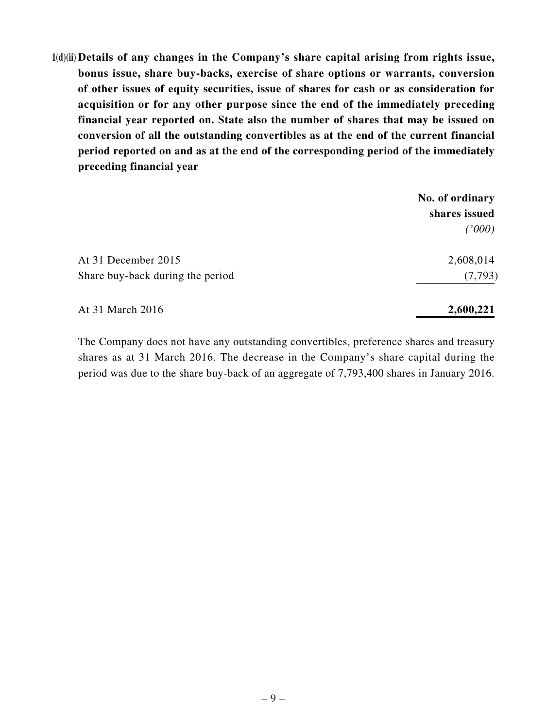**1(d)(ii) Details of any changes in the Company's share capital arising from rights issue, bonus issue, share buy-backs, exercise of share options or warrants, conversion of other issues of equity securities, issue of shares for cash or as consideration for acquisition or for any other purpose since the end of the immediately preceding financial year reported on. State also the number of shares that may be issued on conversion of all the outstanding convertibles as at the end of the current financial period reported on and as at the end of the corresponding period of the immediately preceding financial year**

|                                  | No. of ordinary |
|----------------------------------|-----------------|
|                                  | shares issued   |
|                                  | (1000)          |
| At 31 December 2015              | 2,608,014       |
| Share buy-back during the period | (7, 793)        |
| At 31 March 2016                 | 2,600,221       |

The Company does not have any outstanding convertibles, preference shares and treasury shares as at 31 March 2016. The decrease in the Company's share capital during the period was due to the share buy-back of an aggregate of 7,793,400 shares in January 2016.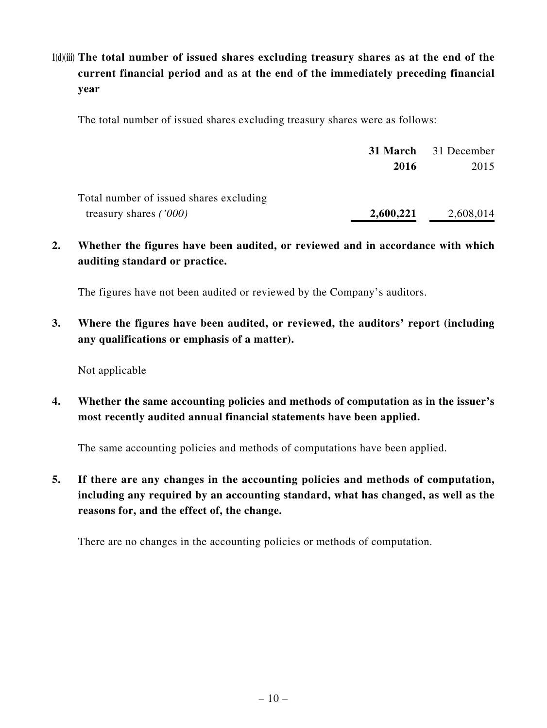# **1(d)(iii) The total number of issued shares excluding treasury shares as at the end of the current financial period and as at the end of the immediately preceding financial year**

The total number of issued shares excluding treasury shares were as follows:

|                                         |           | <b>31 March</b> 31 December |
|-----------------------------------------|-----------|-----------------------------|
|                                         | 2016      | 2015                        |
| Total number of issued shares excluding |           |                             |
| treasury shares $(7000)$                | 2,600,221 | 2,608,014                   |

**2. Whether the figures have been audited, or reviewed and in accordance with which auditing standard or practice.**

The figures have not been audited or reviewed by the Company's auditors.

**3. Where the figures have been audited, or reviewed, the auditors' report (including any qualifications or emphasis of a matter).**

Not applicable

**4. Whether the same accounting policies and methods of computation as in the issuer's most recently audited annual financial statements have been applied.**

The same accounting policies and methods of computations have been applied.

**5. If there are any changes in the accounting policies and methods of computation, including any required by an accounting standard, what has changed, as well as the reasons for, and the effect of, the change.**

There are no changes in the accounting policies or methods of computation.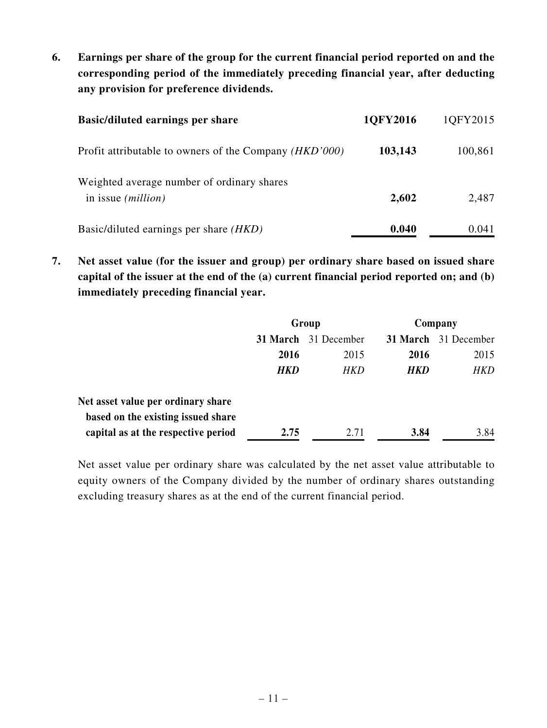**6. Earnings per share of the group for the current financial period reported on and the corresponding period of the immediately preceding financial year, after deducting any provision for preference dividends.**

| <b>Basic/diluted earnings per share</b>                                 | 10FY2016 | 1QFY2015 |
|-------------------------------------------------------------------------|----------|----------|
| Profit attributable to owners of the Company ( <i>HKD</i> '000)         | 103,143  | 100,861  |
| Weighted average number of ordinary shares<br>in issue <i>(million)</i> | 2,602    | 2,487    |
| Basic/diluted earnings per share ( <i>HKD</i> )                         | 0.040    | 0.041    |

**7. Net asset value (for the issuer and group) per ordinary share based on issued share capital of the issuer at the end of the (a) current financial period reported on; and (b) immediately preceding financial year.**

|                                     | Group      |                             | Company    |                      |
|-------------------------------------|------------|-----------------------------|------------|----------------------|
|                                     |            | <b>31 March</b> 31 December |            | 31 March 31 December |
|                                     | 2016       | 2015                        | 2016       | 2015                 |
|                                     | <b>HKD</b> | HKD                         | <b>HKD</b> | HKD                  |
| Net asset value per ordinary share  |            |                             |            |                      |
| based on the existing issued share  |            |                             |            |                      |
| capital as at the respective period | 2.75       | 2.71                        | 3.84       | 3.84                 |

Net asset value per ordinary share was calculated by the net asset value attributable to equity owners of the Company divided by the number of ordinary shares outstanding excluding treasury shares as at the end of the current financial period.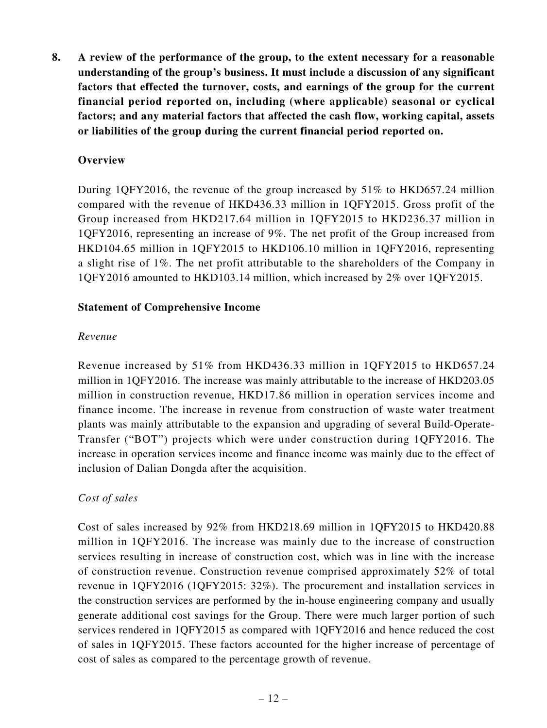**8. A review of the performance of the group, to the extent necessary for a reasonable understanding of the group's business. It must include a discussion of any significant factors that effected the turnover, costs, and earnings of the group for the current financial period reported on, including (where applicable) seasonal or cyclical factors; and any material factors that affected the cash flow, working capital, assets or liabilities of the group during the current financial period reported on.**

### **Overview**

During 1QFY2016, the revenue of the group increased by 51% to HKD657.24 million compared with the revenue of HKD436.33 million in 1QFY2015. Gross profit of the Group increased from HKD217.64 million in 1QFY2015 to HKD236.37 million in 1QFY2016, representing an increase of 9%. The net profit of the Group increased from HKD104.65 million in 1QFY2015 to HKD106.10 million in 1QFY2016, representing a slight rise of 1%. The net profit attributable to the shareholders of the Company in 1QFY2016 amounted to HKD103.14 million, which increased by 2% over 1QFY2015.

#### **Statement of Comprehensive Income**

### *Revenue*

Revenue increased by 51% from HKD436.33 million in 1QFY2015 to HKD657.24 million in 1QFY2016. The increase was mainly attributable to the increase of HKD203.05 million in construction revenue, HKD17.86 million in operation services income and finance income. The increase in revenue from construction of waste water treatment plants was mainly attributable to the expansion and upgrading of several Build-Operate-Transfer ("BOT") projects which were under construction during 1QFY2016. The increase in operation services income and finance income was mainly due to the effect of inclusion of Dalian Dongda after the acquisition.

### *Cost of sales*

Cost of sales increased by 92% from HKD218.69 million in 1QFY2015 to HKD420.88 million in 1QFY2016. The increase was mainly due to the increase of construction services resulting in increase of construction cost, which was in line with the increase of construction revenue. Construction revenue comprised approximately 52% of total revenue in 1QFY2016 (1QFY2015: 32%). The procurement and installation services in the construction services are performed by the in-house engineering company and usually generate additional cost savings for the Group. There were much larger portion of such services rendered in 1QFY2015 as compared with 1QFY2016 and hence reduced the cost of sales in 1QFY2015. These factors accounted for the higher increase of percentage of cost of sales as compared to the percentage growth of revenue.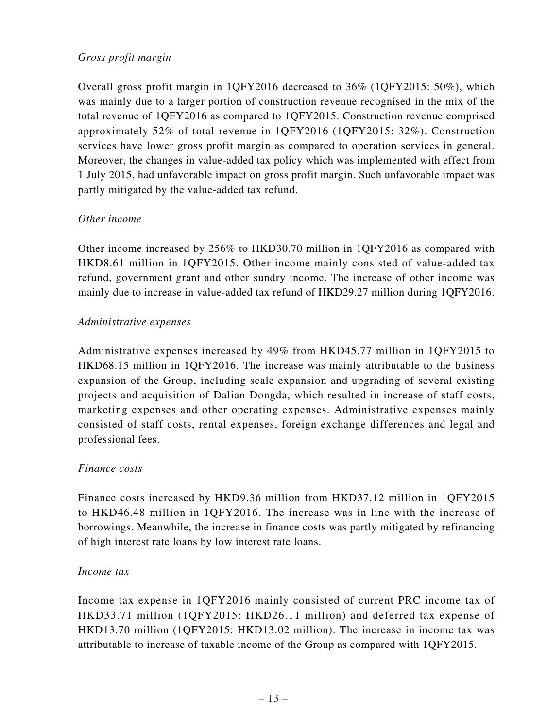### *Gross profit margin*

Overall gross profit margin in 1QFY2016 decreased to 36% (1QFY2015: 50%), which was mainly due to a larger portion of construction revenue recognised in the mix of the total revenue of 1QFY2016 as compared to 1QFY2015. Construction revenue comprised approximately 52% of total revenue in 1QFY2016 (1QFY2015: 32%). Construction services have lower gross profit margin as compared to operation services in general. Moreover, the changes in value-added tax policy which was implemented with effect from 1 July 2015, had unfavorable impact on gross profit margin. Such unfavorable impact was partly mitigated by the value-added tax refund.

### *Other income*

Other income increased by 256% to HKD30.70 million in 1QFY2016 as compared with HKD8.61 million in 1QFY2015. Other income mainly consisted of value-added tax refund, government grant and other sundry income. The increase of other income was mainly due to increase in value-added tax refund of HKD29.27 million during 1QFY2016.

#### *Administrative expenses*

Administrative expenses increased by 49% from HKD45.77 million in 1QFY2015 to HKD68.15 million in 1QFY2016. The increase was mainly attributable to the business expansion of the Group, including scale expansion and upgrading of several existing projects and acquisition of Dalian Dongda, which resulted in increase of staff costs, marketing expenses and other operating expenses. Administrative expenses mainly consisted of staff costs, rental expenses, foreign exchange differences and legal and professional fees.

### *Finance costs*

Finance costs increased by HKD9.36 million from HKD37.12 million in 1QFY2015 to HKD46.48 million in 1QFY2016. The increase was in line with the increase of borrowings. Meanwhile, the increase in finance costs was partly mitigated by refinancing of high interest rate loans by low interest rate loans.

#### *Income tax*

Income tax expense in 1QFY2016 mainly consisted of current PRC income tax of HKD33.71 million (1QFY2015: HKD26.11 million) and deferred tax expense of HKD13.70 million (1QFY2015: HKD13.02 million). The increase in income tax was attributable to increase of taxable income of the Group as compared with 1QFY2015.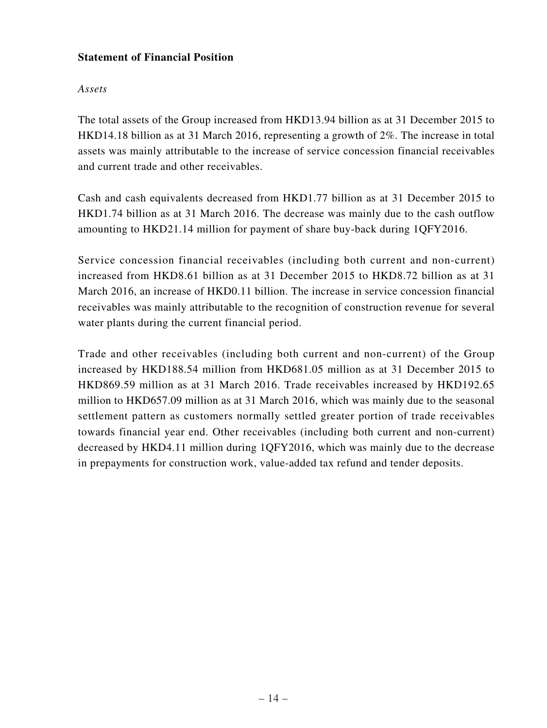### **Statement of Financial Position**

### *Assets*

The total assets of the Group increased from HKD13.94 billion as at 31 December 2015 to HKD14.18 billion as at 31 March 2016, representing a growth of 2%. The increase in total assets was mainly attributable to the increase of service concession financial receivables and current trade and other receivables.

Cash and cash equivalents decreased from HKD1.77 billion as at 31 December 2015 to HKD1.74 billion as at 31 March 2016. The decrease was mainly due to the cash outflow amounting to HKD21.14 million for payment of share buy-back during 1QFY2016.

Service concession financial receivables (including both current and non-current) increased from HKD8.61 billion as at 31 December 2015 to HKD8.72 billion as at 31 March 2016, an increase of HKD0.11 billion. The increase in service concession financial receivables was mainly attributable to the recognition of construction revenue for several water plants during the current financial period.

Trade and other receivables (including both current and non-current) of the Group increased by HKD188.54 million from HKD681.05 million as at 31 December 2015 to HKD869.59 million as at 31 March 2016. Trade receivables increased by HKD192.65 million to HKD657.09 million as at 31 March 2016, which was mainly due to the seasonal settlement pattern as customers normally settled greater portion of trade receivables towards financial year end. Other receivables (including both current and non-current) decreased by HKD4.11 million during 1QFY2016, which was mainly due to the decrease in prepayments for construction work, value-added tax refund and tender deposits.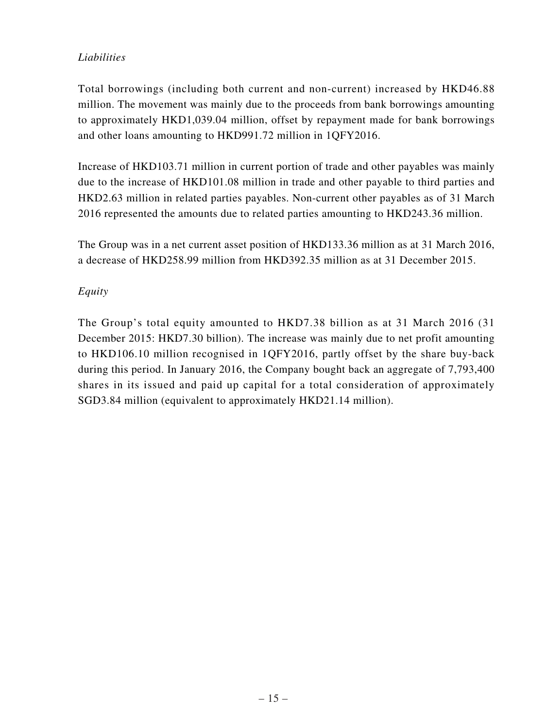## *Liabilities*

Total borrowings (including both current and non-current) increased by HKD46.88 million. The movement was mainly due to the proceeds from bank borrowings amounting to approximately HKD1,039.04 million, offset by repayment made for bank borrowings and other loans amounting to HKD991.72 million in 1QFY2016.

Increase of HKD103.71 million in current portion of trade and other payables was mainly due to the increase of HKD101.08 million in trade and other payable to third parties and HKD2.63 million in related parties payables. Non-current other payables as of 31 March 2016 represented the amounts due to related parties amounting to HKD243.36 million.

The Group was in a net current asset position of HKD133.36 million as at 31 March 2016, a decrease of HKD258.99 million from HKD392.35 million as at 31 December 2015.

## *Equity*

The Group's total equity amounted to HKD7.38 billion as at 31 March 2016 (31 December 2015: HKD7.30 billion). The increase was mainly due to net profit amounting to HKD106.10 million recognised in 1QFY2016, partly offset by the share buy-back during this period. In January 2016, the Company bought back an aggregate of 7,793,400 shares in its issued and paid up capital for a total consideration of approximately SGD3.84 million (equivalent to approximately HKD21.14 million).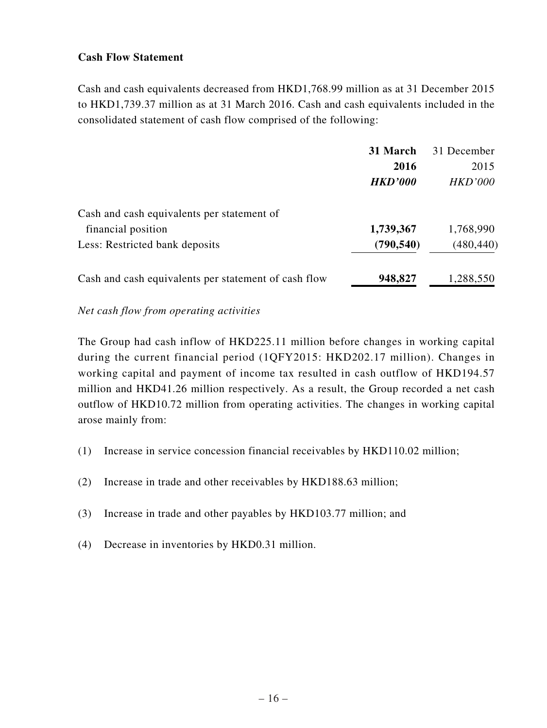### **Cash Flow Statement**

Cash and cash equivalents decreased from HKD1,768.99 million as at 31 December 2015 to HKD1,739.37 million as at 31 March 2016. Cash and cash equivalents included in the consolidated statement of cash flow comprised of the following:

|                                                      | 31 March       | 31 December    |
|------------------------------------------------------|----------------|----------------|
|                                                      | 2016           | 2015           |
|                                                      | <b>HKD'000</b> | <b>HKD'000</b> |
| Cash and cash equivalents per statement of           |                |                |
| financial position                                   | 1,739,367      | 1,768,990      |
| Less: Restricted bank deposits                       | (790, 540)     | (480, 440)     |
| Cash and cash equivalents per statement of cash flow | 948,827        | 1,288,550      |

#### *Net cash flow from operating activities*

The Group had cash inflow of HKD225.11 million before changes in working capital during the current financial period (1QFY2015: HKD202.17 million). Changes in working capital and payment of income tax resulted in cash outflow of HKD194.57 million and HKD41.26 million respectively. As a result, the Group recorded a net cash outflow of HKD10.72 million from operating activities. The changes in working capital arose mainly from:

- (1) Increase in service concession financial receivables by HKD110.02 million;
- (2) Increase in trade and other receivables by HKD188.63 million;
- (3) Increase in trade and other payables by HKD103.77 million; and
- (4) Decrease in inventories by HKD0.31 million.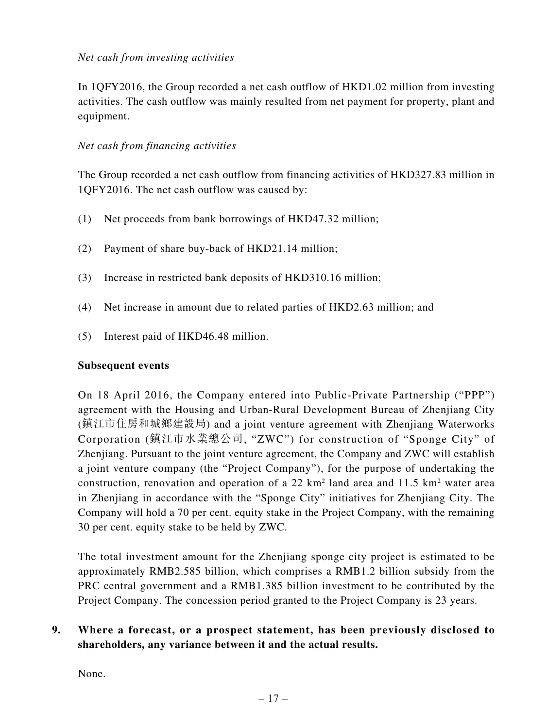### *Net cash from investing activities*

In 1QFY2016, the Group recorded a net cash outflow of HKD1.02 million from investing activities. The cash outflow was mainly resulted from net payment for property, plant and equipment.

#### *Net cash from financing activities*

The Group recorded a net cash outflow from financing activities of HKD327.83 million in 1QFY2016. The net cash outflow was caused by:

- (1) Net proceeds from bank borrowings of HKD47.32 million;
- (2) Payment of share buy-back of HKD21.14 million;
- (3) Increase in restricted bank deposits of HKD310.16 million;
- (4) Net increase in amount due to related parties of HKD2.63 million; and
- (5) Interest paid of HKD46.48 million.

#### **Subsequent events**

On 18 April 2016, the Company entered into Public-Private Partnership ("PPP") agreement with the Housing and Urban-Rural Development Bureau of Zhenjiang City (鎮江市住房和城鄉建設局) and a joint venture agreement with Zhenjiang Waterworks Corporation (鎮江市水業總公司, "ZWC") for construction of "Sponge City" of Zhenjiang. Pursuant to the joint venture agreement, the Company and ZWC will establish a joint venture company (the "Project Company"), for the purpose of undertaking the construction, renovation and operation of a 22  $km^2$  land area and 11.5  $km^2$  water area in Zhenjiang in accordance with the "Sponge City" initiatives for Zhenjiang City. The Company will hold a 70 per cent. equity stake in the Project Company, with the remaining 30 per cent. equity stake to be held by ZWC.

The total investment amount for the Zhenjiang sponge city project is estimated to be approximately RMB2.585 billion, which comprises a RMB1.2 billion subsidy from the PRC central government and a RMB1.385 billion investment to be contributed by the Project Company. The concession period granted to the Project Company is 23 years.

# **9. Where a forecast, or a prospect statement, has been previously disclosed to shareholders, any variance between it and the actual results.**

None.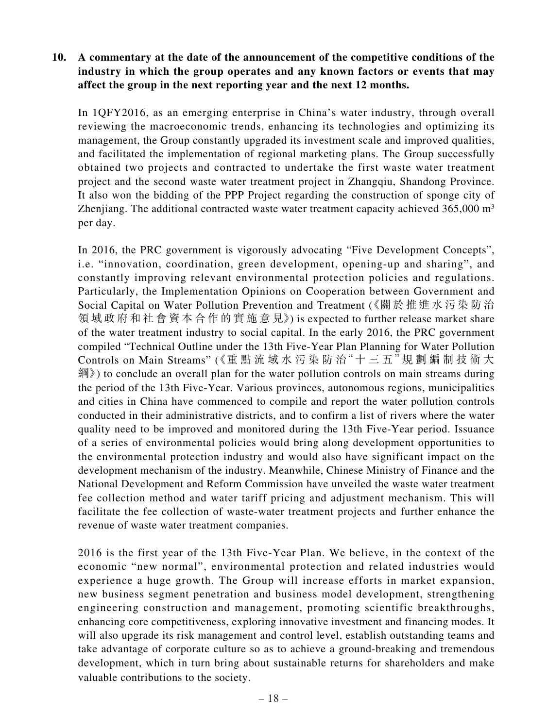### **10. A commentary at the date of the announcement of the competitive conditions of the industry in which the group operates and any known factors or events that may affect the group in the next reporting year and the next 12 months.**

In 1QFY2016, as an emerging enterprise in China's water industry, through overall reviewing the macroeconomic trends, enhancing its technologies and optimizing its management, the Group constantly upgraded its investment scale and improved qualities, and facilitated the implementation of regional marketing plans. The Group successfully obtained two projects and contracted to undertake the first waste water treatment project and the second waste water treatment project in Zhangqiu, Shandong Province. It also won the bidding of the PPP Project regarding the construction of sponge city of Zhenjiang. The additional contracted waste water treatment capacity achieved  $365,000 \text{ m}^3$ per day.

In 2016, the PRC government is vigorously advocating "Five Development Concepts", i.e. "innovation, coordination, green development, opening-up and sharing", and constantly improving relevant environmental protection policies and regulations. Particularly, the Implementation Opinions on Cooperation between Government and Social Capital on Water Pollution Prevention and Treatment (《關於推進水污染防治 領域政府和社會資本合作的實施意見》) is expected to further release market share of the water treatment industry to social capital. In the early 2016, the PRC government compiled "Technical Outline under the 13th Five-Year Plan Planning for Water Pollution Controls on Main Streams" (《重點流域水污染防治"十三五"規劃編制技術大 綱》) to conclude an overall plan for the water pollution controls on main streams during the period of the 13th Five-Year. Various provinces, autonomous regions, municipalities and cities in China have commenced to compile and report the water pollution controls conducted in their administrative districts, and to confirm a list of rivers where the water quality need to be improved and monitored during the 13th Five-Year period. Issuance of a series of environmental policies would bring along development opportunities to the environmental protection industry and would also have significant impact on the development mechanism of the industry. Meanwhile, Chinese Ministry of Finance and the National Development and Reform Commission have unveiled the waste water treatment fee collection method and water tariff pricing and adjustment mechanism. This will facilitate the fee collection of waste-water treatment projects and further enhance the revenue of waste water treatment companies.

2016 is the first year of the 13th Five-Year Plan. We believe, in the context of the economic "new normal", environmental protection and related industries would experience a huge growth. The Group will increase efforts in market expansion, new business segment penetration and business model development, strengthening engineering construction and management, promoting scientific breakthroughs, enhancing core competitiveness, exploring innovative investment and financing modes. It will also upgrade its risk management and control level, establish outstanding teams and take advantage of corporate culture so as to achieve a ground-breaking and tremendous development, which in turn bring about sustainable returns for shareholders and make valuable contributions to the society.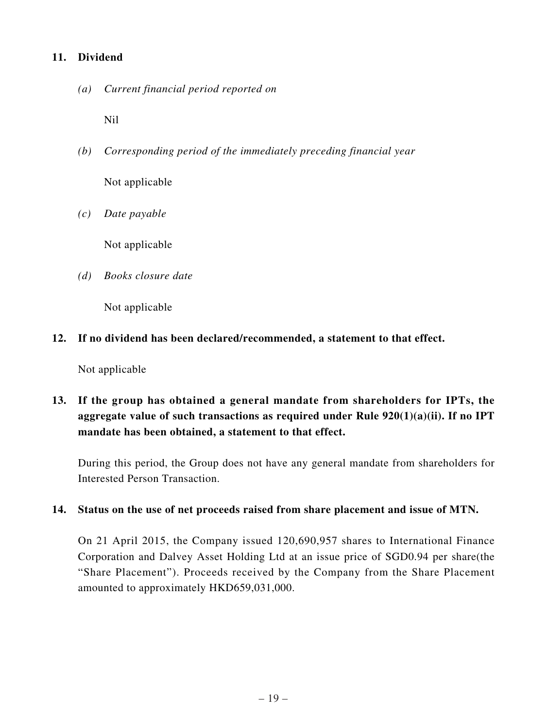### **11. Dividend**

*(a) Current financial period reported on*

Nil

- *(b) Corresponding period of the immediately preceding financial year* Not applicable
- *(c) Date payable*

Not applicable

*(d) Books closure date*

Not applicable

**12. If no dividend has been declared/recommended, a statement to that effect.**

Not applicable

**13. If the group has obtained a general mandate from shareholders for IPTs, the aggregate value of such transactions as required under Rule 920(1)(a)(ii). If no IPT mandate has been obtained, a statement to that effect.**

During this period, the Group does not have any general mandate from shareholders for Interested Person Transaction.

### **14. Status on the use of net proceeds raised from share placement and issue of MTN.**

On 21 April 2015, the Company issued 120,690,957 shares to International Finance Corporation and Dalvey Asset Holding Ltd at an issue price of SGD0.94 per share(the "Share Placement"). Proceeds received by the Company from the Share Placement amounted to approximately HKD659,031,000.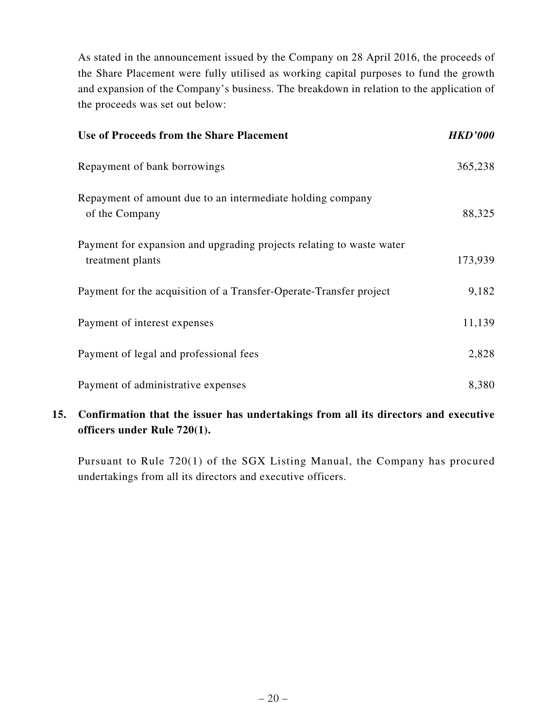As stated in the announcement issued by the Company on 28 April 2016, the proceeds of the Share Placement were fully utilised as working capital purposes to fund the growth and expansion of the Company's business. The breakdown in relation to the application of the proceeds was set out below:

| <b>Use of Proceeds from the Share Placement</b>                                          | <b>HKD'000</b> |
|------------------------------------------------------------------------------------------|----------------|
| Repayment of bank borrowings                                                             | 365,238        |
| Repayment of amount due to an intermediate holding company<br>of the Company             | 88,325         |
| Payment for expansion and upgrading projects relating to waste water<br>treatment plants | 173,939        |
| Payment for the acquisition of a Transfer-Operate-Transfer project                       | 9,182          |
| Payment of interest expenses                                                             | 11,139         |
| Payment of legal and professional fees                                                   | 2,828          |
| Payment of administrative expenses                                                       | 8,380          |

# **15. Confirmation that the issuer has undertakings from all its directors and executive officers under Rule 720(1).**

Pursuant to Rule 720(1) of the SGX Listing Manual, the Company has procured undertakings from all its directors and executive officers.